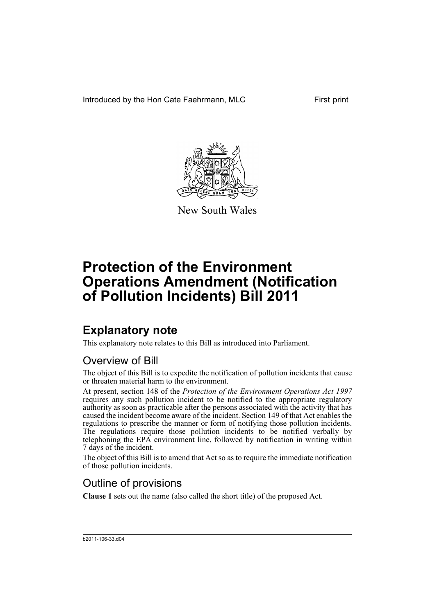Introduced by the Hon Cate Faehrmann, MLC First print



New South Wales

# **Protection of the Environment Operations Amendment (Notification of Pollution Incidents) Bill 2011**

## **Explanatory note**

This explanatory note relates to this Bill as introduced into Parliament.

#### Overview of Bill

The object of this Bill is to expedite the notification of pollution incidents that cause or threaten material harm to the environment.

At present, section 148 of the *Protection of the Environment Operations Act 1997* requires any such pollution incident to be notified to the appropriate regulatory authority as soon as practicable after the persons associated with the activity that has caused the incident become aware of the incident. Section 149 of that Act enables the regulations to prescribe the manner or form of notifying those pollution incidents. The regulations require those pollution incidents to be notified verbally by telephoning the EPA environment line, followed by notification in writing within 7 days of the incident.

The object of this Bill is to amend that Act so as to require the immediate notification of those pollution incidents.

#### Outline of provisions

**Clause 1** sets out the name (also called the short title) of the proposed Act.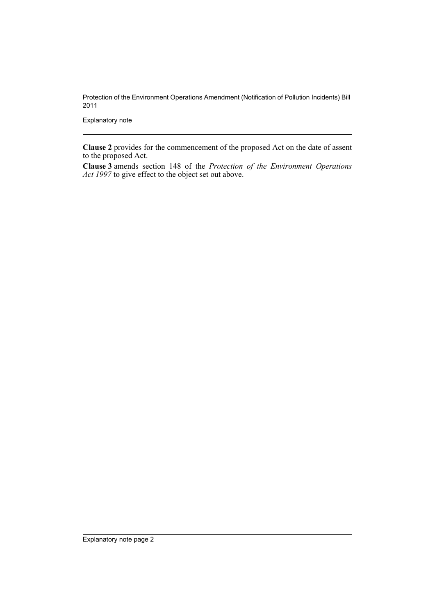Protection of the Environment Operations Amendment (Notification of Pollution Incidents) Bill 2011

Explanatory note

**Clause 2** provides for the commencement of the proposed Act on the date of assent to the proposed Act.

**Clause 3** amends section 148 of the *Protection of the Environment Operations Act 1997* to give effect to the object set out above.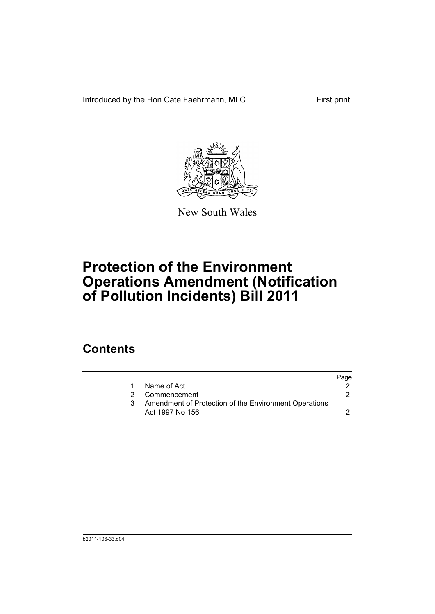Introduced by the Hon Cate Faehrmann, MLC First print



New South Wales

# **Protection of the Environment Operations Amendment (Notification of Pollution Incidents) Bill 2011**

### **Contents**

|                                                       | Page |
|-------------------------------------------------------|------|
| Name of Act                                           |      |
| 2 Commencement                                        |      |
| Amendment of Protection of the Environment Operations |      |
| Act 1997 No 156                                       |      |
|                                                       |      |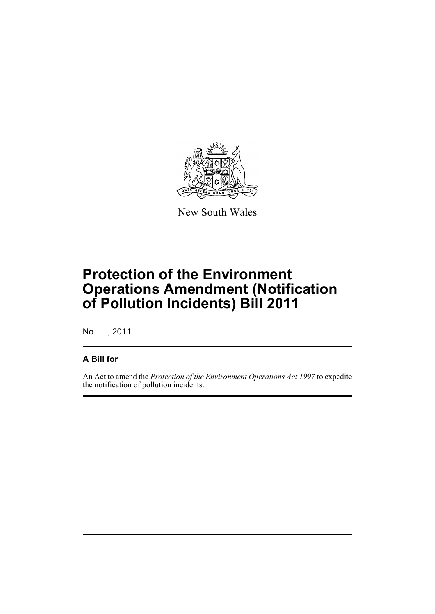

New South Wales

## **Protection of the Environment Operations Amendment (Notification of Pollution Incidents) Bill 2011**

No , 2011

#### **A Bill for**

An Act to amend the *Protection of the Environment Operations Act 1997* to expedite the notification of pollution incidents.